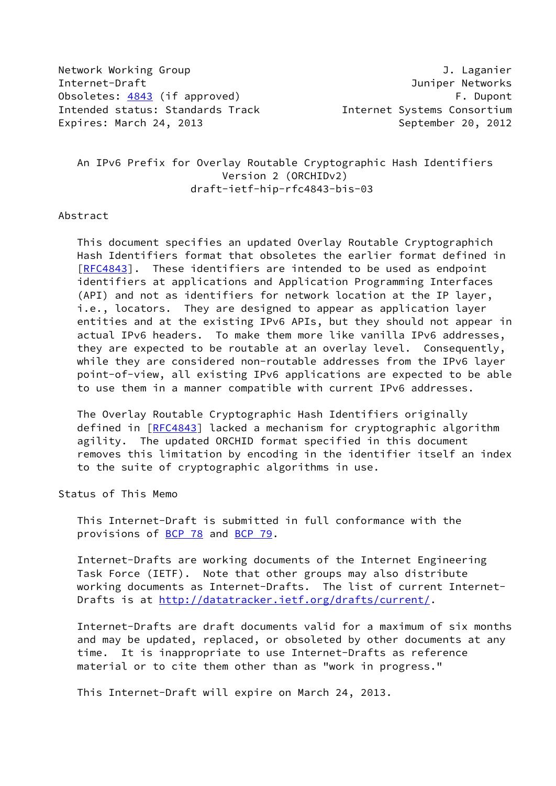Network Working Group **J. Laganier** Internet-Draft Juniper Networks Obsoletes: [4843](https://datatracker.ietf.org/doc/pdf/rfc4843) (if approved) example the set of the set of the set of the set of the set of the set of the set o Intended status: Standards Track Internet Systems Consortium Expires: March 24, 2013 **September 20, 2012** 

 An IPv6 Prefix for Overlay Routable Cryptographic Hash Identifiers Version 2 (ORCHIDv2) draft-ietf-hip-rfc4843-bis-03

### Abstract

 This document specifies an updated Overlay Routable Cryptographich Hash Identifiers format that obsoletes the earlier format defined in [\[RFC4843](https://datatracker.ietf.org/doc/pdf/rfc4843)]. These identifiers are intended to be used as endpoint identifiers at applications and Application Programming Interfaces (API) and not as identifiers for network location at the IP layer, i.e., locators. They are designed to appear as application layer entities and at the existing IPv6 APIs, but they should not appear in actual IPv6 headers. To make them more like vanilla IPv6 addresses, they are expected to be routable at an overlay level. Consequently, while they are considered non-routable addresses from the IPv6 layer point-of-view, all existing IPv6 applications are expected to be able to use them in a manner compatible with current IPv6 addresses.

 The Overlay Routable Cryptographic Hash Identifiers originally defined in [[RFC4843\]](https://datatracker.ietf.org/doc/pdf/rfc4843) lacked a mechanism for cryptographic algorithm agility. The updated ORCHID format specified in this document removes this limitation by encoding in the identifier itself an index to the suite of cryptographic algorithms in use.

Status of This Memo

 This Internet-Draft is submitted in full conformance with the provisions of [BCP 78](https://datatracker.ietf.org/doc/pdf/bcp78) and [BCP 79](https://datatracker.ietf.org/doc/pdf/bcp79).

 Internet-Drafts are working documents of the Internet Engineering Task Force (IETF). Note that other groups may also distribute working documents as Internet-Drafts. The list of current Internet- Drafts is at<http://datatracker.ietf.org/drafts/current/>.

 Internet-Drafts are draft documents valid for a maximum of six months and may be updated, replaced, or obsoleted by other documents at any time. It is inappropriate to use Internet-Drafts as reference material or to cite them other than as "work in progress."

This Internet-Draft will expire on March 24, 2013.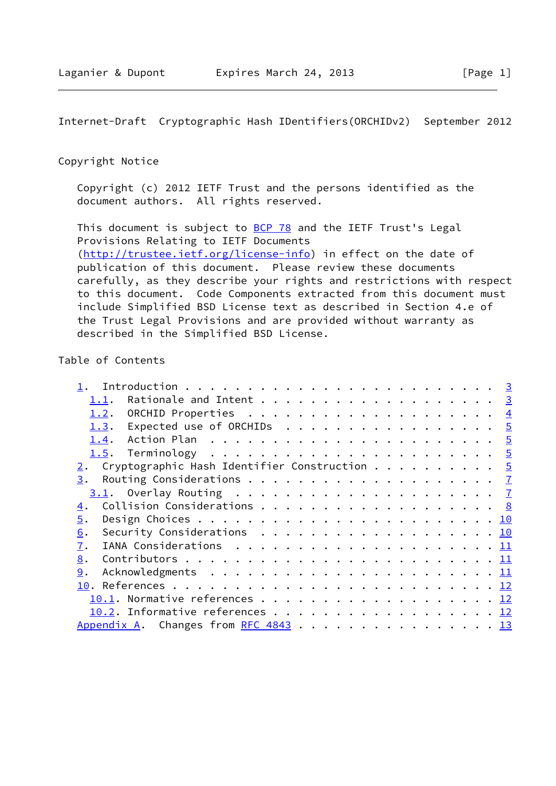### Copyright Notice

 Copyright (c) 2012 IETF Trust and the persons identified as the document authors. All rights reserved.

This document is subject to **[BCP 78](https://datatracker.ietf.org/doc/pdf/bcp78)** and the IETF Trust's Legal Provisions Relating to IETF Documents [\(http://trustee.ietf.org/license-info](http://trustee.ietf.org/license-info)) in effect on the date of publication of this document. Please review these documents carefully, as they describe your rights and restrictions with respect to this document. Code Components extracted from this document must include Simplified BSD License text as described in Section 4.e of the Trust Legal Provisions and are provided without warranty as described in the Simplified BSD License.

# Table of Contents

| 1.1.             |              |  |  |  |  |                                                                                                                                                                                                                                   |
|------------------|--------------|--|--|--|--|-----------------------------------------------------------------------------------------------------------------------------------------------------------------------------------------------------------------------------------|
|                  |              |  |  |  |  |                                                                                                                                                                                                                                   |
|                  |              |  |  |  |  |                                                                                                                                                                                                                                   |
|                  |              |  |  |  |  |                                                                                                                                                                                                                                   |
|                  |              |  |  |  |  |                                                                                                                                                                                                                                   |
| 2.               |              |  |  |  |  |                                                                                                                                                                                                                                   |
| 3.               |              |  |  |  |  |                                                                                                                                                                                                                                   |
|                  |              |  |  |  |  |                                                                                                                                                                                                                                   |
| 4.               |              |  |  |  |  |                                                                                                                                                                                                                                   |
| $\overline{5}$ . |              |  |  |  |  |                                                                                                                                                                                                                                   |
| 6.               |              |  |  |  |  |                                                                                                                                                                                                                                   |
| 7.               |              |  |  |  |  |                                                                                                                                                                                                                                   |
| 8.               |              |  |  |  |  |                                                                                                                                                                                                                                   |
| 9.               |              |  |  |  |  |                                                                                                                                                                                                                                   |
|                  |              |  |  |  |  |                                                                                                                                                                                                                                   |
|                  |              |  |  |  |  |                                                                                                                                                                                                                                   |
|                  |              |  |  |  |  |                                                                                                                                                                                                                                   |
|                  |              |  |  |  |  |                                                                                                                                                                                                                                   |
|                  | 1.2.<br>1.4. |  |  |  |  | 1.3. Expected use of ORCHIDs 5<br>Cryptographic Hash Identifier Construction 5<br>Security Considerations $\cdots$ 10<br>10.1. Normative references 12<br>10.2. Informative references 12<br>Appendix A. Changes from RFC 4843 13 |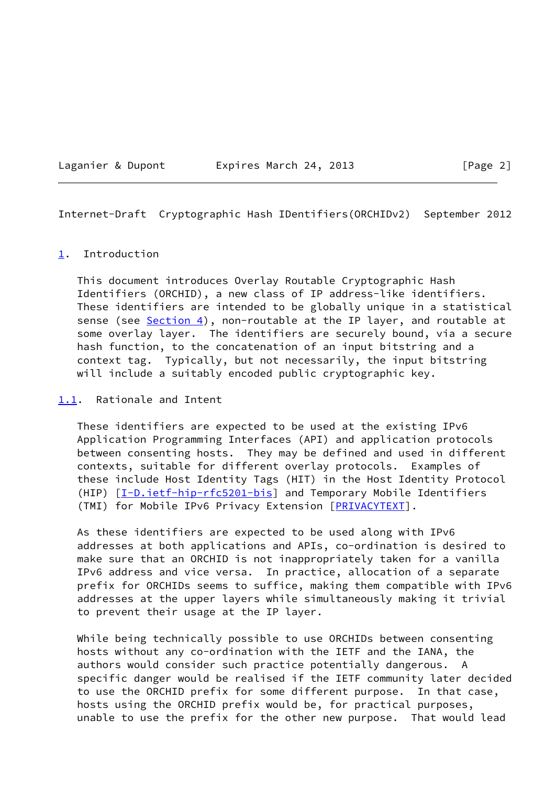### Laganier & Dupont Expires March 24, 2013 [Page 2]

<span id="page-2-1"></span>Internet-Draft Cryptographic Hash IDentifiers(ORCHIDv2) September 2012

#### <span id="page-2-0"></span>[1](#page-2-0). Introduction

 This document introduces Overlay Routable Cryptographic Hash Identifiers (ORCHID), a new class of IP address-like identifiers. These identifiers are intended to be globally unique in a statistical sense (see [Section 4\)](#page-8-0), non-routable at the IP layer, and routable at some overlay layer. The identifiers are securely bound, via a secure hash function, to the concatenation of an input bitstring and a context tag. Typically, but not necessarily, the input bitstring will include a suitably encoded public cryptographic key.

<span id="page-2-2"></span>[1.1](#page-2-2). Rationale and Intent

 These identifiers are expected to be used at the existing IPv6 Application Programming Interfaces (API) and application protocols between consenting hosts. They may be defined and used in different contexts, suitable for different overlay protocols. Examples of these include Host Identity Tags (HIT) in the Host Identity Protocol (HIP)  $[I-D.ietf-hip-rfc5201-bis]$  $[I-D.ietf-hip-rfc5201-bis]$  and Temporary Mobile Identifiers (TMI) for Mobile IPv6 Privacy Extension [\[PRIVACYTEXT](#page-13-2)].

 As these identifiers are expected to be used along with IPv6 addresses at both applications and APIs, co-ordination is desired to make sure that an ORCHID is not inappropriately taken for a vanilla IPv6 address and vice versa. In practice, allocation of a separate prefix for ORCHIDs seems to suffice, making them compatible with IPv6 addresses at the upper layers while simultaneously making it trivial to prevent their usage at the IP layer.

 While being technically possible to use ORCHIDs between consenting hosts without any co-ordination with the IETF and the IANA, the authors would consider such practice potentially dangerous. A specific danger would be realised if the IETF community later decided to use the ORCHID prefix for some different purpose. In that case, hosts using the ORCHID prefix would be, for practical purposes, unable to use the prefix for the other new purpose. That would lead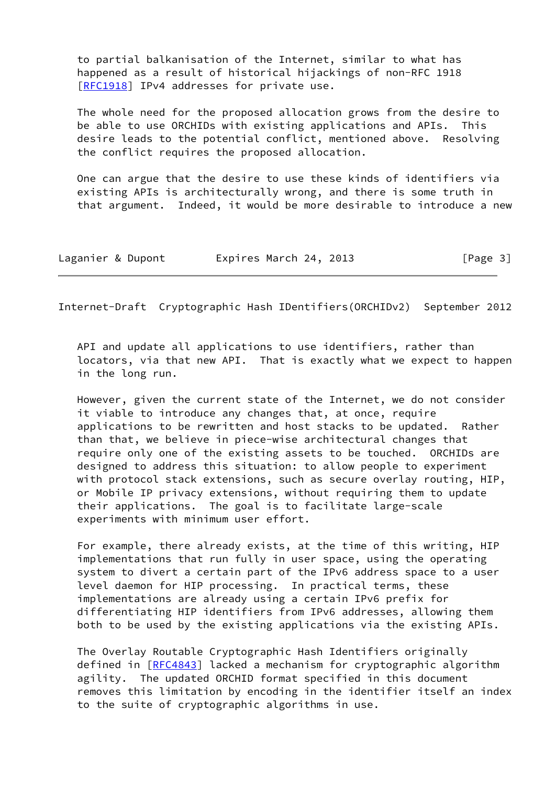to partial balkanisation of the Internet, similar to what has happened as a result of historical hijackings of non-RFC 1918 [\[RFC1918](https://datatracker.ietf.org/doc/pdf/rfc1918)] IPv4 addresses for private use.

 The whole need for the proposed allocation grows from the desire to be able to use ORCHIDs with existing applications and APIs. This desire leads to the potential conflict, mentioned above. Resolving the conflict requires the proposed allocation.

 One can argue that the desire to use these kinds of identifiers via existing APIs is architecturally wrong, and there is some truth in that argument. Indeed, it would be more desirable to introduce a new

| Laganier & Dupont | Expires March 24, 2013 | [Page 3] |
|-------------------|------------------------|----------|
|-------------------|------------------------|----------|

<span id="page-3-0"></span>Internet-Draft Cryptographic Hash IDentifiers(ORCHIDv2) September 2012

 API and update all applications to use identifiers, rather than locators, via that new API. That is exactly what we expect to happen in the long run.

 However, given the current state of the Internet, we do not consider it viable to introduce any changes that, at once, require applications to be rewritten and host stacks to be updated. Rather than that, we believe in piece-wise architectural changes that require only one of the existing assets to be touched. ORCHIDs are designed to address this situation: to allow people to experiment with protocol stack extensions, such as secure overlay routing, HIP, or Mobile IP privacy extensions, without requiring them to update their applications. The goal is to facilitate large-scale experiments with minimum user effort.

 For example, there already exists, at the time of this writing, HIP implementations that run fully in user space, using the operating system to divert a certain part of the IPv6 address space to a user level daemon for HIP processing. In practical terms, these implementations are already using a certain IPv6 prefix for differentiating HIP identifiers from IPv6 addresses, allowing them both to be used by the existing applications via the existing APIs.

 The Overlay Routable Cryptographic Hash Identifiers originally defined in [[RFC4843\]](https://datatracker.ietf.org/doc/pdf/rfc4843) lacked a mechanism for cryptographic algorithm agility. The updated ORCHID format specified in this document removes this limitation by encoding in the identifier itself an index to the suite of cryptographic algorithms in use.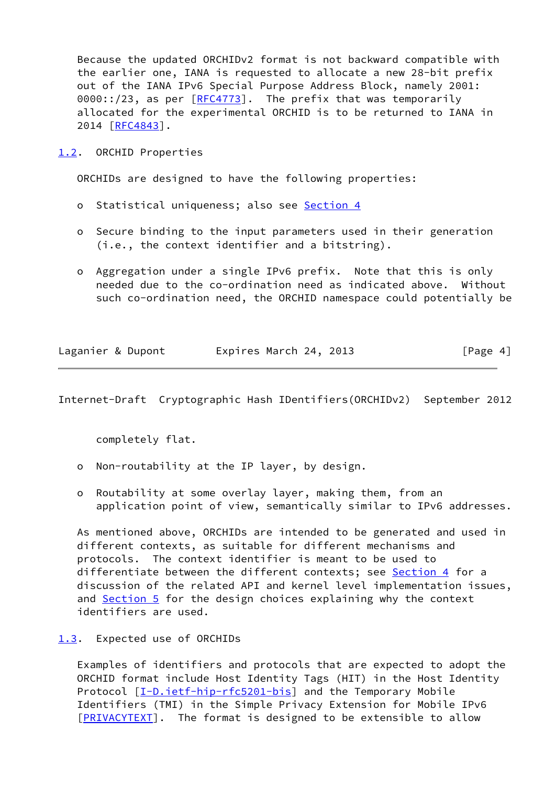Because the updated ORCHIDv2 format is not backward compatible with the earlier one, IANA is requested to allocate a new 28-bit prefix out of the IANA IPv6 Special Purpose Address Block, namely 2001:  $0000::/23$ , as per  $[REC4773]$ . The prefix that was temporarily allocated for the experimental ORCHID is to be returned to IANA in 2014 [\[RFC4843](https://datatracker.ietf.org/doc/pdf/rfc4843)].

<span id="page-4-0"></span>[1.2](#page-4-0). ORCHID Properties

ORCHIDs are designed to have the following properties:

- o Statistical uniqueness; also see [Section 4](#page-8-0)
- o Secure binding to the input parameters used in their generation (i.e., the context identifier and a bitstring).
- o Aggregation under a single IPv6 prefix. Note that this is only needed due to the co-ordination need as indicated above. Without such co-ordination need, the ORCHID namespace could potentially be

| Laganier & Dupont | Expires March 24, 2013 | [Page 4] |
|-------------------|------------------------|----------|
|                   |                        |          |

<span id="page-4-2"></span>Internet-Draft Cryptographic Hash IDentifiers(ORCHIDv2) September 2012

completely flat.

- o Non-routability at the IP layer, by design.
- o Routability at some overlay layer, making them, from an application point of view, semantically similar to IPv6 addresses.

 As mentioned above, ORCHIDs are intended to be generated and used in different contexts, as suitable for different mechanisms and protocols. The context identifier is meant to be used to differentiate between the different contexts; see [Section 4](#page-8-0) for a discussion of the related API and kernel level implementation issues, and [Section 5](#page-10-0) for the design choices explaining why the context identifiers are used.

### <span id="page-4-1"></span>[1.3](#page-4-1). Expected use of ORCHIDs

 Examples of identifiers and protocols that are expected to adopt the ORCHID format include Host Identity Tags (HIT) in the Host Identity Protocol [\[I-D.ietf-hip-rfc5201-bis](#page-12-6)] and the Temporary Mobile Identifiers (TMI) in the Simple Privacy Extension for Mobile IPv6 [\[PRIVACYTEXT](#page-13-2)]. The format is designed to be extensible to allow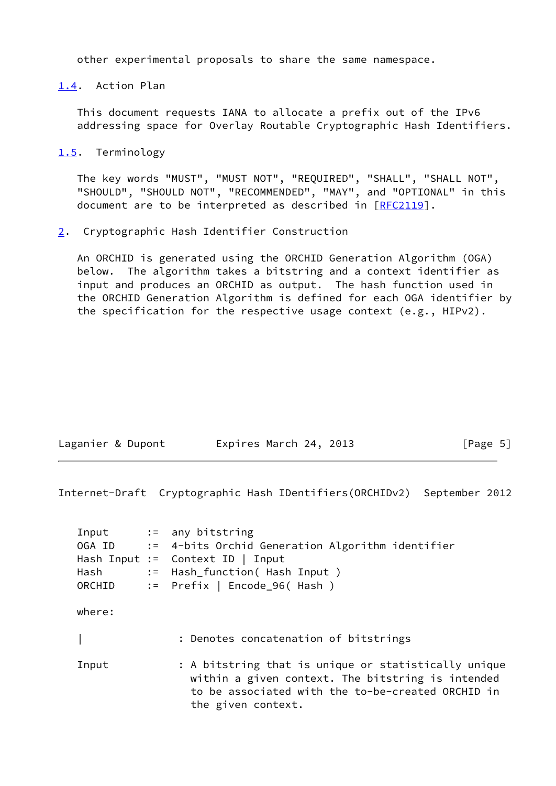other experimental proposals to share the same namespace.

<span id="page-5-0"></span>[1.4](#page-5-0). Action Plan

 This document requests IANA to allocate a prefix out of the IPv6 addressing space for Overlay Routable Cryptographic Hash Identifiers.

<span id="page-5-1"></span>[1.5](#page-5-1). Terminology

 The key words "MUST", "MUST NOT", "REQUIRED", "SHALL", "SHALL NOT", "SHOULD", "SHOULD NOT", "RECOMMENDED", "MAY", and "OPTIONAL" in this document are to be interpreted as described in [\[RFC2119](https://datatracker.ietf.org/doc/pdf/rfc2119)].

<span id="page-5-2"></span>[2](#page-5-2). Cryptographic Hash Identifier Construction

 An ORCHID is generated using the ORCHID Generation Algorithm (OGA) below. The algorithm takes a bitstring and a context identifier as input and produces an ORCHID as output. The hash function used in the ORCHID Generation Algorithm is defined for each OGA identifier by the specification for the respective usage context (e.g., HIPv2).

| Laganier & Dupont | Expires March 24, 2013 | [Page 5] |
|-------------------|------------------------|----------|
|                   |                        |          |

Internet-Draft Cryptographic Hash IDentifiers(ORCHIDv2) September 2012

|        | Input := any bitstring                                                                                                                                                               |
|--------|--------------------------------------------------------------------------------------------------------------------------------------------------------------------------------------|
|        | OGA ID := 4-bits Orchid Generation Algorithm identifier                                                                                                                              |
|        | Hash Input := Context ID   Input                                                                                                                                                     |
| Hash   | := Hash_function( Hash Input)                                                                                                                                                        |
| ORCHID | $:=$ Prefix   Encode_96( Hash )                                                                                                                                                      |
| where: |                                                                                                                                                                                      |
|        | : Denotes concatenation of bitstrings                                                                                                                                                |
| Input  | : A bitstring that is unique or statistically unique<br>within a given context. The bitstring is intended<br>to be associated with the to-be-created ORCHID in<br>the given context. |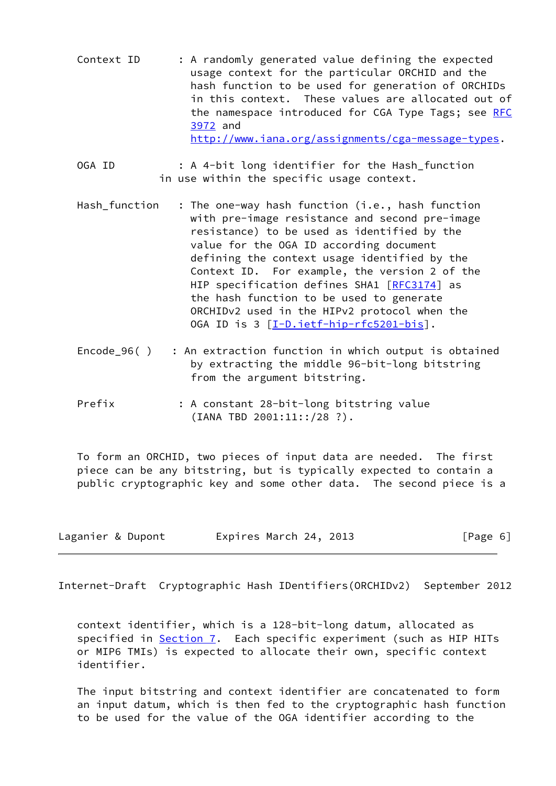- Context ID : A randomly generated value defining the expected usage context for the particular ORCHID and the hash function to be used for generation of ORCHIDs in this context. These values are allocated out of the namespace introduced for CGA Type Tags; see [RFC](https://datatracker.ietf.org/doc/pdf/rfc3972) [3972](https://datatracker.ietf.org/doc/pdf/rfc3972) and [http://www.iana.org/assignments/cga-message-types.](http://www.iana.org/assignments/cga-message-types)
- OGA ID : A 4-bit long identifier for the Hash\_function in use within the specific usage context.
- Hash\_function : The one-way hash function (i.e., hash function with pre-image resistance and second pre-image resistance) to be used as identified by the value for the OGA ID according document defining the context usage identified by the Context ID. For example, the version 2 of the HIP specification defines SHA1 [\[RFC3174](https://datatracker.ietf.org/doc/pdf/rfc3174)] as the hash function to be used to generate ORCHIDv2 used in the HIPv2 protocol when the OGA ID is 3 [[I-D.ietf-hip-rfc5201-bis\]](#page-12-6).
- Encode  $96()$  : An extraction function in which output is obtained by extracting the middle 96-bit-long bitstring from the argument bitstring.
- Prefix : A constant 28-bit-long bitstring value (IANA TBD 2001:11::/28 ?).

 To form an ORCHID, two pieces of input data are needed. The first piece can be any bitstring, but is typically expected to contain a public cryptographic key and some other data. The second piece is a

| Laganier & Dupont | Expires March 24, 2013 | [Page 6] |
|-------------------|------------------------|----------|
|-------------------|------------------------|----------|

<span id="page-6-0"></span>Internet-Draft Cryptographic Hash IDentifiers(ORCHIDv2) September 2012

 context identifier, which is a 128-bit-long datum, allocated as specified in [Section 7](#page-11-0). Each specific experiment (such as HIP HITs or MIP6 TMIs) is expected to allocate their own, specific context identifier.

 The input bitstring and context identifier are concatenated to form an input datum, which is then fed to the cryptographic hash function to be used for the value of the OGA identifier according to the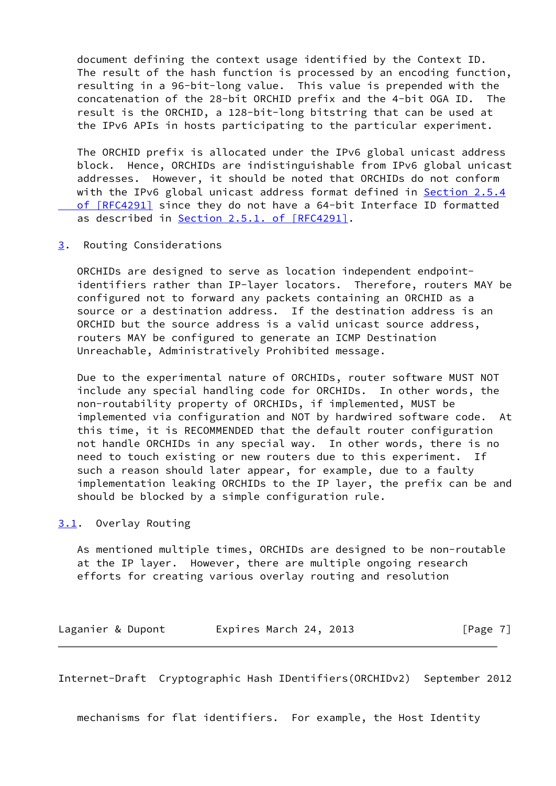document defining the context usage identified by the Context ID. The result of the hash function is processed by an encoding function, resulting in a 96-bit-long value. This value is prepended with the concatenation of the 28-bit ORCHID prefix and the 4-bit OGA ID. The result is the ORCHID, a 128-bit-long bitstring that can be used at the IPv6 APIs in hosts participating to the particular experiment.

 The ORCHID prefix is allocated under the IPv6 global unicast address block. Hence, ORCHIDs are indistinguishable from IPv6 global unicast addresses. However, it should be noted that ORCHIDs do not conform with the IPv6 global unicast address format defined in [Section](https://datatracker.ietf.org/doc/pdf/rfc4291#section-2.5.4) 2.5.4 of [RFC4291] since they do not have a 64-bit Interface ID formatted as described in Section [2.5.1. of \[RFC4291\]](https://datatracker.ietf.org/doc/pdf/rfc4291#section-2.5.1).

<span id="page-7-0"></span>[3](#page-7-0). Routing Considerations

 ORCHIDs are designed to serve as location independent endpoint identifiers rather than IP-layer locators. Therefore, routers MAY be configured not to forward any packets containing an ORCHID as a source or a destination address. If the destination address is an ORCHID but the source address is a valid unicast source address, routers MAY be configured to generate an ICMP Destination Unreachable, Administratively Prohibited message.

 Due to the experimental nature of ORCHIDs, router software MUST NOT include any special handling code for ORCHIDs. In other words, the non-routability property of ORCHIDs, if implemented, MUST be implemented via configuration and NOT by hardwired software code. At this time, it is RECOMMENDED that the default router configuration not handle ORCHIDs in any special way. In other words, there is no need to touch existing or new routers due to this experiment. If such a reason should later appear, for example, due to a faulty implementation leaking ORCHIDs to the IP layer, the prefix can be and should be blocked by a simple configuration rule.

## <span id="page-7-1"></span>[3.1](#page-7-1). Overlay Routing

 As mentioned multiple times, ORCHIDs are designed to be non-routable at the IP layer. However, there are multiple ongoing research efforts for creating various overlay routing and resolution

Laganier & Dupont Expires March 24, 2013 [Page 7]

<span id="page-7-2"></span>Internet-Draft Cryptographic Hash IDentifiers(ORCHIDv2) September 2012

mechanisms for flat identifiers. For example, the Host Identity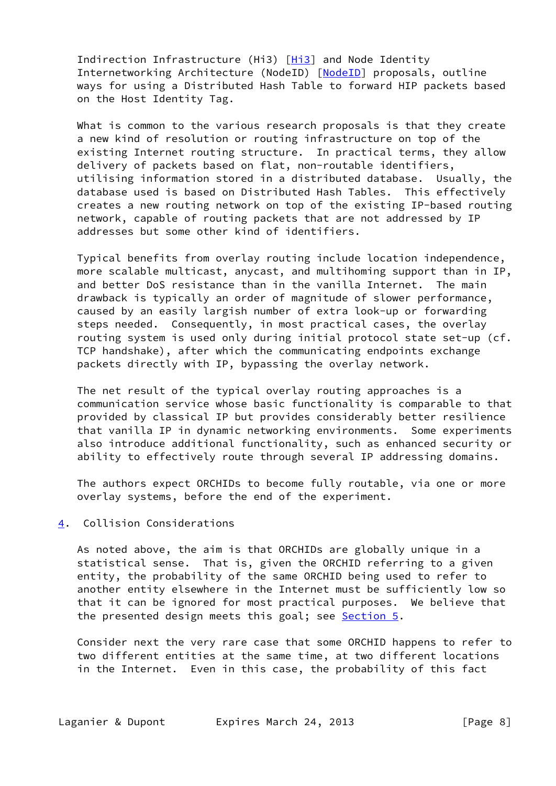Indirection Infrastructure (Hi3) [\[Hi3](#page-12-7)] and Node Identity Internetworking Architecture ([NodeID](#page-13-3)) [NodeID] proposals, outline ways for using a Distributed Hash Table to forward HIP packets based on the Host Identity Tag.

What is common to the various research proposals is that they create a new kind of resolution or routing infrastructure on top of the existing Internet routing structure. In practical terms, they allow delivery of packets based on flat, non-routable identifiers, utilising information stored in a distributed database. Usually, the database used is based on Distributed Hash Tables. This effectively creates a new routing network on top of the existing IP-based routing network, capable of routing packets that are not addressed by IP addresses but some other kind of identifiers.

 Typical benefits from overlay routing include location independence, more scalable multicast, anycast, and multihoming support than in IP, and better DoS resistance than in the vanilla Internet. The main drawback is typically an order of magnitude of slower performance, caused by an easily largish number of extra look-up or forwarding steps needed. Consequently, in most practical cases, the overlay routing system is used only during initial protocol state set-up (cf. TCP handshake), after which the communicating endpoints exchange packets directly with IP, bypassing the overlay network.

 The net result of the typical overlay routing approaches is a communication service whose basic functionality is comparable to that provided by classical IP but provides considerably better resilience that vanilla IP in dynamic networking environments. Some experiments also introduce additional functionality, such as enhanced security or ability to effectively route through several IP addressing domains.

 The authors expect ORCHIDs to become fully routable, via one or more overlay systems, before the end of the experiment.

# <span id="page-8-0"></span>[4](#page-8-0). Collision Considerations

 As noted above, the aim is that ORCHIDs are globally unique in a statistical sense. That is, given the ORCHID referring to a given entity, the probability of the same ORCHID being used to refer to another entity elsewhere in the Internet must be sufficiently low so that it can be ignored for most practical purposes. We believe that the presented design meets this goal; see [Section 5.](#page-10-0)

 Consider next the very rare case that some ORCHID happens to refer to two different entities at the same time, at two different locations in the Internet. Even in this case, the probability of this fact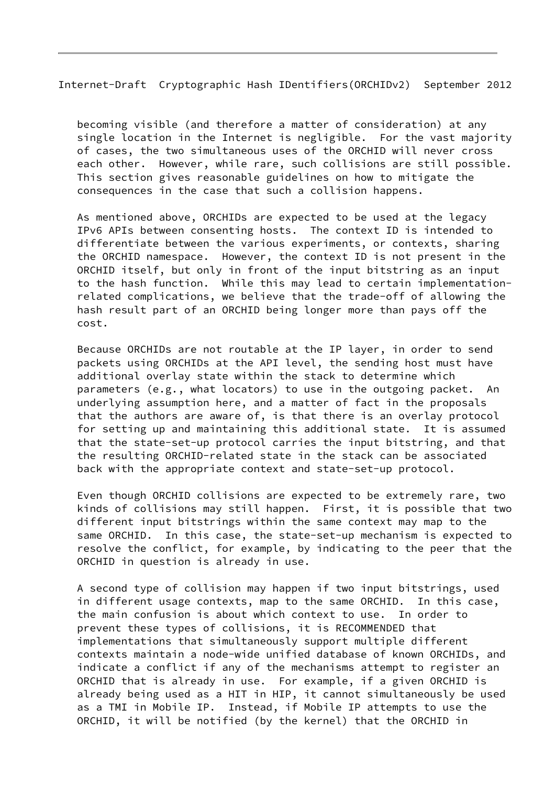becoming visible (and therefore a matter of consideration) at any single location in the Internet is negligible. For the vast majority of cases, the two simultaneous uses of the ORCHID will never cross each other. However, while rare, such collisions are still possible. This section gives reasonable guidelines on how to mitigate the consequences in the case that such a collision happens.

 As mentioned above, ORCHIDs are expected to be used at the legacy IPv6 APIs between consenting hosts. The context ID is intended to differentiate between the various experiments, or contexts, sharing the ORCHID namespace. However, the context ID is not present in the ORCHID itself, but only in front of the input bitstring as an input to the hash function. While this may lead to certain implementation related complications, we believe that the trade-off of allowing the hash result part of an ORCHID being longer more than pays off the cost.

 Because ORCHIDs are not routable at the IP layer, in order to send packets using ORCHIDs at the API level, the sending host must have additional overlay state within the stack to determine which parameters (e.g., what locators) to use in the outgoing packet. An underlying assumption here, and a matter of fact in the proposals that the authors are aware of, is that there is an overlay protocol for setting up and maintaining this additional state. It is assumed that the state-set-up protocol carries the input bitstring, and that the resulting ORCHID-related state in the stack can be associated back with the appropriate context and state-set-up protocol.

 Even though ORCHID collisions are expected to be extremely rare, two kinds of collisions may still happen. First, it is possible that two different input bitstrings within the same context may map to the same ORCHID. In this case, the state-set-up mechanism is expected to resolve the conflict, for example, by indicating to the peer that the ORCHID in question is already in use.

 A second type of collision may happen if two input bitstrings, used in different usage contexts, map to the same ORCHID. In this case, the main confusion is about which context to use. In order to prevent these types of collisions, it is RECOMMENDED that implementations that simultaneously support multiple different contexts maintain a node-wide unified database of known ORCHIDs, and indicate a conflict if any of the mechanisms attempt to register an ORCHID that is already in use. For example, if a given ORCHID is already being used as a HIT in HIP, it cannot simultaneously be used as a TMI in Mobile IP. Instead, if Mobile IP attempts to use the ORCHID, it will be notified (by the kernel) that the ORCHID in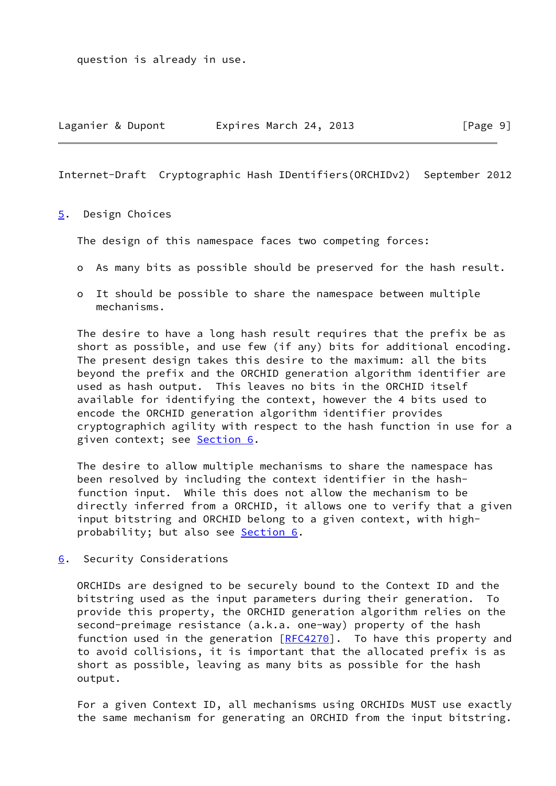#### <span id="page-10-1"></span><span id="page-10-0"></span>[5](#page-10-0). Design Choices

The design of this namespace faces two competing forces:

- o As many bits as possible should be preserved for the hash result.
- o It should be possible to share the namespace between multiple mechanisms.

 The desire to have a long hash result requires that the prefix be as short as possible, and use few (if any) bits for additional encoding. The present design takes this desire to the maximum: all the bits beyond the prefix and the ORCHID generation algorithm identifier are used as hash output. This leaves no bits in the ORCHID itself available for identifying the context, however the 4 bits used to encode the ORCHID generation algorithm identifier provides cryptographich agility with respect to the hash function in use for a given context; see **Section 6**.

 The desire to allow multiple mechanisms to share the namespace has been resolved by including the context identifier in the hash function input. While this does not allow the mechanism to be directly inferred from a ORCHID, it allows one to verify that a given input bitstring and ORCHID belong to a given context, with high- probability; but also see [Section 6.](#page-10-2)

<span id="page-10-2"></span>[6](#page-10-2). Security Considerations

 ORCHIDs are designed to be securely bound to the Context ID and the bitstring used as the input parameters during their generation. To provide this property, the ORCHID generation algorithm relies on the second-preimage resistance (a.k.a. one-way) property of the hash function used in the generation  $[REC4270]$ . To have this property and to avoid collisions, it is important that the allocated prefix is as short as possible, leaving as many bits as possible for the hash output.

 For a given Context ID, all mechanisms using ORCHIDs MUST use exactly the same mechanism for generating an ORCHID from the input bitstring.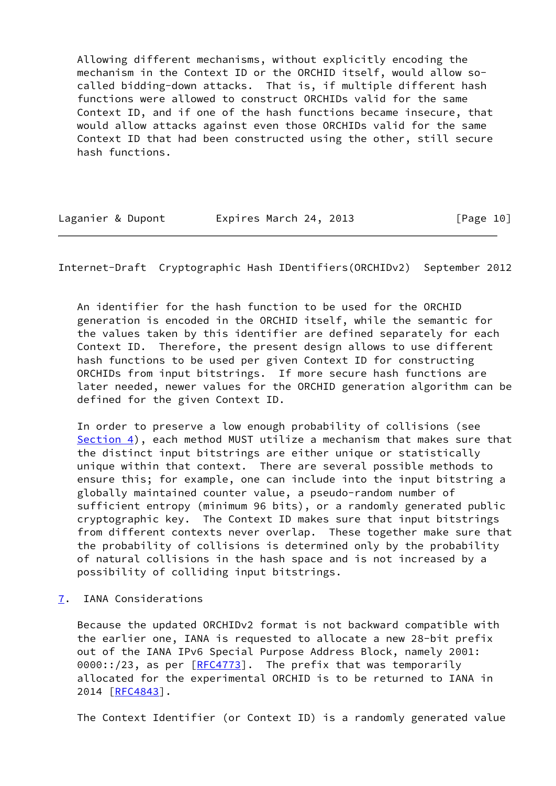Allowing different mechanisms, without explicitly encoding the mechanism in the Context ID or the ORCHID itself, would allow so called bidding-down attacks. That is, if multiple different hash functions were allowed to construct ORCHIDs valid for the same Context ID, and if one of the hash functions became insecure, that would allow attacks against even those ORCHIDs valid for the same Context ID that had been constructed using the other, still secure hash functions.

| Laganier & Dupont | Expires March 24, 2013 | [Page 10] |
|-------------------|------------------------|-----------|
|                   |                        |           |

<span id="page-11-1"></span>Internet-Draft Cryptographic Hash IDentifiers(ORCHIDv2) September 2012

 An identifier for the hash function to be used for the ORCHID generation is encoded in the ORCHID itself, while the semantic for the values taken by this identifier are defined separately for each Context ID. Therefore, the present design allows to use different hash functions to be used per given Context ID for constructing ORCHIDs from input bitstrings. If more secure hash functions are later needed, newer values for the ORCHID generation algorithm can be defined for the given Context ID.

 In order to preserve a low enough probability of collisions (see [Section 4](#page-8-0)), each method MUST utilize a mechanism that makes sure that the distinct input bitstrings are either unique or statistically unique within that context. There are several possible methods to ensure this; for example, one can include into the input bitstring a globally maintained counter value, a pseudo-random number of sufficient entropy (minimum 96 bits), or a randomly generated public cryptographic key. The Context ID makes sure that input bitstrings from different contexts never overlap. These together make sure that the probability of collisions is determined only by the probability of natural collisions in the hash space and is not increased by a possibility of colliding input bitstrings.

<span id="page-11-0"></span>[7](#page-11-0). IANA Considerations

 Because the updated ORCHIDv2 format is not backward compatible with the earlier one, IANA is requested to allocate a new 28-bit prefix out of the IANA IPv6 Special Purpose Address Block, namely 2001: 0000::/23, as per [[RFC4773](https://datatracker.ietf.org/doc/pdf/rfc4773)]. The prefix that was temporarily allocated for the experimental ORCHID is to be returned to IANA in 2014 [\[RFC4843](https://datatracker.ietf.org/doc/pdf/rfc4843)].

The Context Identifier (or Context ID) is a randomly generated value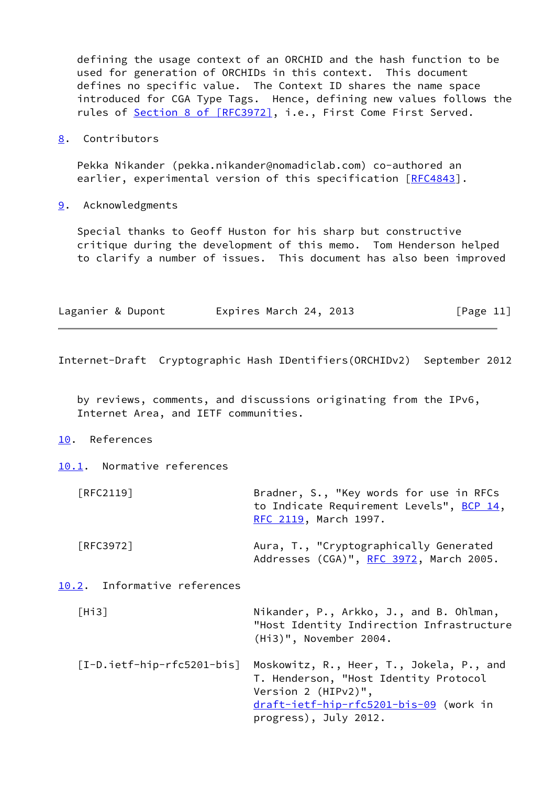defining the usage context of an ORCHID and the hash function to be used for generation of ORCHIDs in this context. This document defines no specific value. The Context ID shares the name space introduced for CGA Type Tags. Hence, defining new values follows the rules of Section [8 of \[RFC3972\]](https://datatracker.ietf.org/doc/pdf/rfc3972#section-8), i.e., First Come First Served.

<span id="page-12-0"></span>[8](#page-12-0). Contributors

 Pekka Nikander (pekka.nikander@nomadiclab.com) co-authored an earlier, experimental version of this specification [\[RFC4843](https://datatracker.ietf.org/doc/pdf/rfc4843)].

<span id="page-12-1"></span>[9](#page-12-1). Acknowledgments

 Special thanks to Geoff Huston for his sharp but constructive critique during the development of this memo. Tom Henderson helped to clarify a number of issues. This document has also been improved

| Laganier & Dupont | Expires March 24, 2013 | [Page 11] |
|-------------------|------------------------|-----------|
|-------------------|------------------------|-----------|

<span id="page-12-3"></span>Internet-Draft Cryptographic Hash IDentifiers(ORCHIDv2) September 2012

 by reviews, comments, and discussions originating from the IPv6, Internet Area, and IETF communities.

<span id="page-12-2"></span>[10.](#page-12-2) References

<span id="page-12-4"></span>[10.1](#page-12-4). Normative references

| $\lceil \mathsf{RFC2119} \rceil$ | Bradner, S., "Key words for use in RFCs<br>to Indicate Requirement Levels", BCP 14,<br>RFC 2119, March 1997. |
|----------------------------------|--------------------------------------------------------------------------------------------------------------|
| [RFC3972]                        | Aura, T., "Cryptographically Generated<br>Addresses (CGA)", RFC 3972, March 2005.                            |
| 10.2. Informative references     |                                                                                                              |

<span id="page-12-7"></span><span id="page-12-6"></span><span id="page-12-5"></span> [Hi3] Nikander, P., Arkko, J., and B. Ohlman, "Host Identity Indirection Infrastructure (Hi3)", November 2004. [I-D.ietf-hip-rfc5201-bis] Moskowitz, R., Heer, T., Jokela, P., and T. Henderson, "Host Identity Protocol Version 2 (HIPv2)",

 [draft-ietf-hip-rfc5201-bis-09](https://datatracker.ietf.org/doc/pdf/draft-ietf-hip-rfc5201-bis-09) (work in progress), July 2012.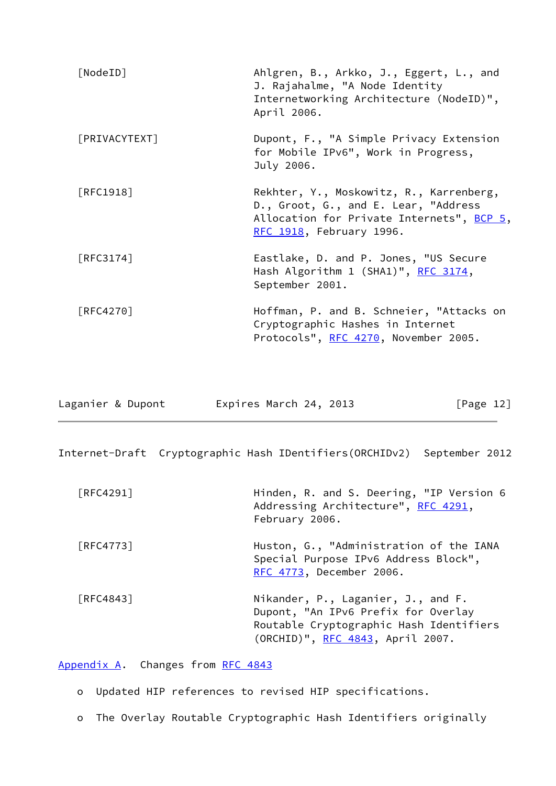<span id="page-13-3"></span><span id="page-13-2"></span>

| [NodeID]      | Ahlgren, B., Arkko, J., Eggert, L., and<br>J. Rajahalme, "A Node Identity<br>Internetworking Architecture (NodeID)",<br>April 2006.                      |
|---------------|----------------------------------------------------------------------------------------------------------------------------------------------------------|
| [PRIVACYTEXT] | Dupont, F., "A Simple Privacy Extension<br>for Mobile IPv6", Work in Progress,<br>July 2006.                                                             |
| [RFC1918]     | Rekhter, Y., Moskowitz, R., Karrenberg,<br>D., Groot, G., and E. Lear, "Address<br>Allocation for Private Internets", BCP 5,<br>RFC 1918, February 1996. |
| [RFC3174]     | Eastlake, D. and P. Jones, "US Secure<br>Hash Algorithm 1 (SHA1)", RFC 3174,<br>September 2001.                                                          |
| [RFC4270]     | Hoffman, P. and B. Schneier, "Attacks on<br>Cryptographic Hashes in Internet<br>Protocols", RFC 4270, November 2005.                                     |

<span id="page-13-1"></span>

| Laganier & Dupont | Expires March 24, 2013 | [Page 12] |
|-------------------|------------------------|-----------|
|                   |                        |           |

| $\lceil$ RFC4291] | Hinden, R. and S. Deering, "IP Version 6<br>Addressing Architecture", RFC 4291,<br>February 2006.                                                        |
|-------------------|----------------------------------------------------------------------------------------------------------------------------------------------------------|
| [RFC4773]         | Huston, G., "Administration of the IANA<br>Special Purpose IPv6 Address Block",<br>RFC 4773, December 2006.                                              |
| $\lceil$ RFC4843] | Nikander, P., Laganier, J., and F.<br>Dupont, "An IPv6 Prefix for Overlay<br>Routable Cryptographic Hash Identifiers<br>(ORCHID)", RFC 4843, April 2007. |

<span id="page-13-0"></span>[Appendix A.](#page-13-0) Changes from [RFC 4843](https://datatracker.ietf.org/doc/pdf/rfc4843)

o Updated HIP references to revised HIP specifications.

o The Overlay Routable Cryptographic Hash Identifiers originally